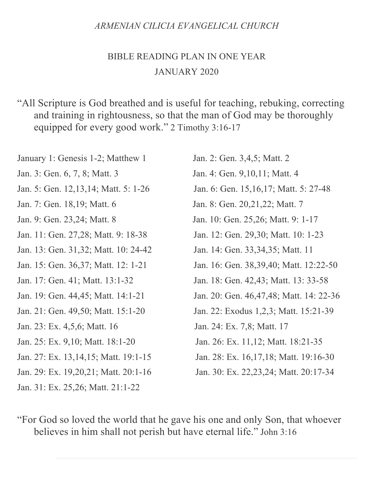### *ARMENIAN CILICIA EVANGELICAL CHURCH*

### BIBLE READING PLAN IN ONE YEAR JANUARY 2020

"All Scripture is God breathed and is useful for teaching, rebuking, correcting and training in rightousness, so that the man of God may be thoroughly equipped for every good work." 2 Timothy 3:16-17

January 1: Genesis 1-2; Matthew 1 Jan. 2: Gen. 3,4,5; Matt. 2 Jan. 3: Gen. 6, 7, 8; Matt. 3 Jan. 4: Gen. 9,10,11; Matt. 4 Jan. 5: Gen. 12,13,14; Matt. 5: 1-26 Jan. 6: Gen. 15,16,17; Matt. 5: 27-48 Jan. 7: Gen. 18,19; Matt. 6 Jan. 8: Gen. 20,21,22; Matt. 7 Jan. 9: Gen. 23,24; Matt. 8 Jan. 10: Gen. 25,26; Matt. 9: 1-17 Jan. 11: Gen. 27,28; Matt. 9: 18-38 Jan. 12: Gen. 29,30; Matt. 10: 1-23 Jan. 13: Gen. 31,32; Matt. 10: 24-42 Jan. 14: Gen. 33,34,35; Matt. 11 Jan. 17: Gen. 41; Matt. 13:1-32 Jan. 18: Gen. 42,43; Matt. 13: 33-58 Jan. 21: Gen. 49,50; Matt. 15:1-20 Jan. 22: Exodus 1,2,3; Matt. 15:21-39 Jan. 23: Ex. 4,5,6; Matt. 16 Jan. 24: Ex. 7,8; Matt. 17 Jan. 25: Ex. 9,10; Matt. 18:1-20 Jan. 26: Ex. 11,12; Matt. 18:21-35 Jan. 27: Ex. 13,14,15; Matt. 19:1-15 Jan. 28: Ex. 16,17,18; Matt. 19:16-30 Jan. 29: Ex. 19,20,21; Matt. 20:1-16 Jan. 30: Ex. 22,23,24; Matt. 20:17-34 Jan. 31: Ex. 25,26; Matt. 21:1-22

Jan. 15: Gen. 36,37; Matt. 12: 1-21 Jan. 16: Gen. 38,39,40; Matt. 12:22-50 Jan. 19: Gen. 44,45; Matt. 14:1-21 Jan. 20: Gen. 46,47,48; Matt. 14: 22-36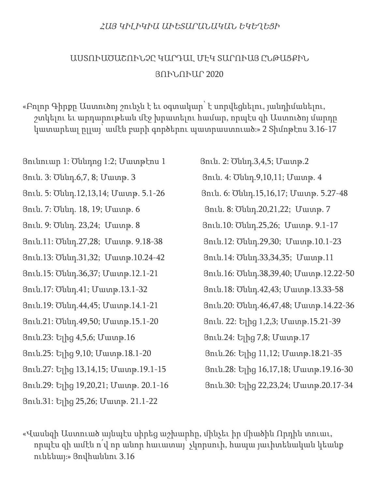### ՀԱՅ ԿԻԼԻԿԻԱ ԱՒԵՏԱՐԱՆԱԿԱՆ ԵԿԵՂԵՑԻ

## ԱՍՏՈՒԱԾԱՇՈՒՆՉԸ ԿԱՐԴԱԼ ՄԷԿ ՏԱՐՈՒԱՅ ԸՆԹԱՑՔԻՆ ՅՈՒՆՈՒԱՐ 2020

«Բոլոր Գիրքը Աստուծոյ շունչն է եւ օգտակար՝ է սորվեցնելու, յանդիմանելու, շտկելու եւ արդարութեան մէջ խրատելու համար, որպէս զի Աստուծոյ մարդը կատարեալ ըլլայ՝ ամէն բարի գործերու պատրաստուած։» 2 Տիմոթէոս 3.16-17

Յունուար 1: Ծննդոց 1:2; Մատթէոս 1 Յուն. 2: Ծննդ.3,4,5; Մատթ.2 Յուն. 3: Ծննդ.6,7, 8; Մատթ. 3 Յուն. 4: Ծննդ.9,10,11; Մատթ. 4 Յուն. 5: Ծննդ.12,13,14; Մատթ. 5.1-26 Յուն. 6: Ծննդ.15,16,17; Մատթ. 5.27-48 Յուն. 7: Ծննդ. 18, 19; Մատթ. 6 Յուն. 8: Ծննդ.20,21,22; Մատթ. 7 Յուն. 9: Ծննդ. 23,24; Մատթ. 8 Յուն.10: Ծննդ.25,26; Մատթ. 9.1-17 Յուն.11: Ծննդ.27,28; Մատթ. 9.18-38 Յուն.12: Ծննդ.29,30; Մատթ.10.1-23 Յուն.13: Ծննդ.31,32; Մատթ.10.24-42 Յուն.14: Ծննդ.33,34,35; Մատթ.11 Յուն.15: Ծննդ.36,37; Մատթ.12.1-21 Յուն.16: Ծննդ.38,39,40; Մատթ.12.22-50 Յուն.17: Ծննդ.41; Մատթ.13.1-32 Յուն.18: Ծննդ.42,43; Մատթ.13.33-58 Յուն.19: Ծննդ.44,45; Մատթ.14.1-21 Յուն.20: Ծննդ.46,47,48; Մատթ.14.22-36 Յուն.21: Ծննդ.49,50; Մատթ.15.1-20 Յուն. 22: Ելից 1,2,3; Մատթ.15.21-39 Յուն.23: Ելից 4,5,6; Մատթ.16 Յուն.24: Ելից 7,8; Մատթ.17 Յուն.25: Ելից 9,10; Մատթ.18.1-20 Յուն.26: Ելից 11,12; Մատթ.18.21-35 Յուն.27: Ելից 13,14,15; Մատթ.19.1-15 Յուն.28: Ելից 16,17,18; Մատթ.19.16-30 Յուն.29: Ելից 19,20,21; Մատթ. 20.1-16 Յուն.30: Ելից 22,23,24; Մատթ.20.17-34 Յուն.31: Ելից 25,26; Մատթ. 21.1-22

«Վասնզի Աստուած այնպէս սիրեց աշխարհը, մինչեւ իր միածին Որդին տուաւ, որպէս զի ամէն ո՛վ որ անոր հաւատայ՝ չկորսուի, հապա յաւիտենական կեանք ունենայ։» Յովհաննու 3.16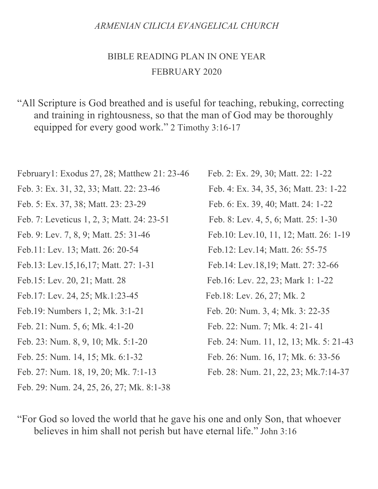### *ARMENIAN CILICIA EVANGELICAL CHURCH*

## BIBLE READING PLAN IN ONE YEAR FEBRUARY 2020

"All Scripture is God breathed and is useful for teaching, rebuking, correcting and training in rightousness, so that the man of God may be thoroughly equipped for every good work." 2 Timothy 3:16-17

| February1: Exodus 27, 28; Matthew 21: 23-46 | Feb. 2: Ex. 29, 30; Matt. 22: 1-22       |
|---------------------------------------------|------------------------------------------|
| Feb. 3: Ex. 31, 32, 33; Matt. 22: 23-46     | Feb. 4: Ex. 34, 35, 36; Matt. 23: 1-22   |
| Feb. 5: Ex. 37, 38; Matt. 23: 23-29         | Feb. 6: Ex. 39, 40; Matt. 24: 1-22       |
| Feb. 7: Leveticus 1, 2, 3; Matt. 24: 23-51  | Feb. 8: Lev. 4, 5, 6; Matt. 25: 1-30     |
| Feb. 9: Lev. 7, 8, 9; Matt. 25: 31-46       | Feb. 10: Lev. 10, 11, 12; Matt. 26: 1-19 |
| Feb.11: Lev. 13; Matt. 26: 20-54            | Feb.12: Lev.14; Matt. 26: 55-75          |
| Feb.13: Lev.15,16,17; Matt. 27: 1-31        | Feb. 14: Lev. 18, 19; Matt. 27: 32-66    |
| Feb.15: Lev. 20, 21; Matt. 28               | Feb.16: Lev. 22, 23; Mark 1: 1-22        |
| Feb.17: Lev. 24, 25; Mk.1:23-45             | Feb. 18: Lev. 26, 27; Mk. 2              |
| Feb. 19: Numbers 1, 2; Mk. 3:1-21           | Feb. 20: Num. 3, 4; Mk. 3: 22-35         |
| Feb. 21: Num. 5, 6; Mk. 4:1-20              | Feb. 22: Num. 7; Mk. 4: 21-41            |
| Feb. 23: Num. 8, 9, 10; Mk. 5:1-20          | Feb. 24: Num. 11, 12, 13; Mk. 5: 21-43   |
| Feb. 25: Num. 14, 15; Mk. 6:1-32            | Feb. 26: Num. 16, 17; Mk. 6: 33-56       |
| Feb. 27: Num. 18, 19, 20; Mk. 7:1-13        | Feb. 28: Num. 21, 22, 23; Mk.7:14-37     |
| Feb. 29: Num. 24, 25, 26, 27; Mk. 8:1-38    |                                          |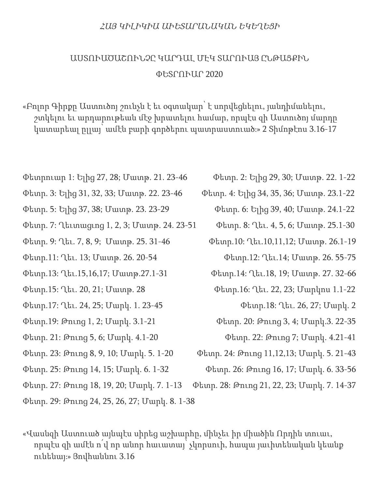#### ՀԱՅ ԿԻԼԻԿԻԱ ԱՒԵՏԱՐԱՆԱԿԱՆ ԵԿԵՂԵՑԻ

## ԱՍՏՈՒԱԾԱՇՈՒՆՉԸ ԿԱՐԴԱԼ ՄԷԿ ՏԱՐՈՒԱՅ ԸՆԹԱՑՔԻՆ ՓԵՏՐՈՒԱՐ 2020

«Բոլոր Գիրքը Աստուծոյ շունչն է եւ օգտակար՝ է սորվեցնելու, յանդիմանելու, շտկելու եւ արդարութեան մէջ խրատելու համար, որպէս զի Աստուծոյ մարդը կատարեալ ըլլայ՝ ամէն բարի գործերու պատրաստուած։» 2 Տիմոթէոս 3.16-17

- Փետրուար 1: Ելից 27, 28; Մատթ. 21. 23-46 Փետր. 2: Ելից 29, 30; Մատթ. 22. 1-22
- Փետր. 3: Ելից 31, 32, 33; Մատթ. 22. 23-46 Փետր. 4: Ելից 34, 35, 36; Մատթ. 23.1-22
- 
- Փետր. 7: Ղեւտացւոց 1, 2, 3; Մատթ. 24. 23-51 Փետր. 8: Ղեւ. 4, 5, 6; Մատթ. 25.1-30
- Փետր. 9: Ղեւ. 7, 8, 9; Մատթ. 25. 31-46 Փետր.10: Ղեւ.10,11,12; Մատթ. 26.1-19
- Փետր.11: Ղեւ. 13; Մատթ. 26. 20-54 Փետր.12: Ղեւ.14; Մատթ. 26. 55-75
- 
- Փետր.15: Ղեւ. 20, 21; Մատթ. 28 Փետր.16: Ղեւ. 22, 23; Մարկոս 1.1-22
- Փետր.17: Ղեւ. 24, 25; Մարկ. 1. 23-45 Փետր.18: Ղեւ. 26, 27; Մարկ. 2
- Փետր.19: Թուոց 1, 2; Մարկ. 3.1-21 Փետր. 20: Թուոց 3, 4; Մարկ.3. 22-35
- Փետր. 21: Թուոց 5, 6; Մարկ. 4.1-20 Փետր. 22: Թուոց 7; Մարկ. 4.21-41
- Փետր. 23: Թուոց 8, 9, 10; Մարկ. 5. 1-20 Փետր. 24: Թուոց 11,12,13; Մարկ. 5. 21-43
- 
- 
- Փետր. 25: Թուոց 14, 15; Մարկ. 6. 1-32 Փետր. 26: Թուոց 16, 17; Մարկ. 6. 33-56
	-
- Փետր. 29: Թուոց 24, 25, 26, 27; Մարկ. 8. 1-38
- «Վասնզի Աստուած այնպէս սիրեց աշխարհը, մինչեւ իր միածին Որդին տուաւ, որպէս զի ամէն ո՛վ որ անոր հաւատայ՝ չկորսուի, հապա յաւիտենական կեանք ունենայ։» Յովհաննու 3.16
- 
- 
- Փետր. 5: Ելից 37, 38; Մատթ. 23. 23-29 Փետր. 6: Ելից 39, 40; Մատթ. 24.1-22
	-
	- -
- Փետր.13: Ղեւ.15,16,17; Մատթ.27.1-31 Փետր.14: Ղեւ.18, 19; Մատթ. 27. 32-66
	- -
	- -
	- -
- Փետր. 27: Թուոց 18, 19, 20; Մարկ. 7. 1-13 Փետր. 28: Թուոց 21, 22, 23; Մարկ. 7. 14-37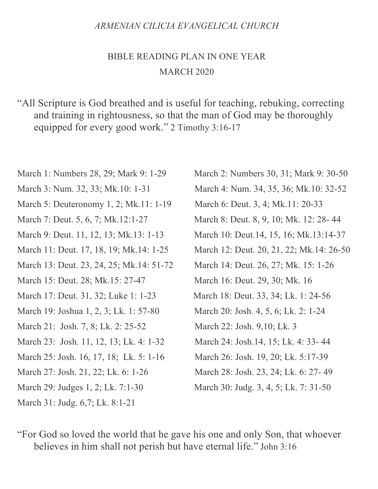### *ARMENIAN CILICIA EVANGELICAL CHURCH*

### BIBLE READING PLAN IN ONE YEAR MARCH 2020

"All Scripture is God breathed and is useful for teaching, rebuking, correcting and training in rightousness, so that the man of God may be thoroughly equipped for every good work." 2 Timothy 3:16-17

March 1: Numbers 28, 29; Mark 9: 1-29 March 2: Numbers 30, 31; Mark 9: 30-50 March 3: Num. 32, 33; Mk.10: 1-31 March 4: Num. 34, 35, 36; Mk.10: 32-52 March 5: Deuteronomy 1, 2; Mk.11: 1-19 March 6: Deut. 3, 4; Mk.11: 20-33 March 7: Deut. 5, 6, 7; Mk.12:1-27 March 8: Deut. 8, 9, 10; Mk. 12: 28-44 March 9: Deut. 11, 12, 13; Mk.13: 1-13 March 10: Deut.14, 15, 16; Mk.13:14-37 March 11: Deut. 17, 18, 19; Mk.14: 1-25 March 12: Deut. 20, 21, 22; Mk.14: 26-50 March 13: Deut. 23, 24, 25; Mk. 14: 51-72 March 14: Deut. 26, 27; Mk. 15: 1-26 March 15: Deut. 28; Mk.15: 27-47 March 16: Deut. 29, 30; Mk. 16 March 17: Deut. 31, 32; Luke 1: 1-23 March 18: Deut. 33, 34; Lk. 1: 24-56 March 19: Joshua 1, 2, 3; Lk. 1: 57-80 March 20: Josh. 4, 5, 6; Lk. 2: 1-24 March 21: Josh. 7, 8; Lk. 2: 25-52 March 22: Josh. 9,10; Lk. 3 March 23: Josh. 11, 12, 13; Lk. 4: 1-32 March 24: Josh.14, 15; Lk. 4: 33- 44 March 25: Josh. 16, 17, 18; Lk. 5: 1-16 March 26: Josh. 19, 20; Lk. 5:17-39 March 27: Josh. 21, 22; Lk. 6: 1-26 March 28: Josh. 23, 24; Lk. 6: 27- 49 March 29: Judges 1, 2; Lk. 7:1-30 March 30: Judg. 3, 4, 5; Lk. 7: 31-50 March 31: Judg. 6,7; Lk. 8:1-21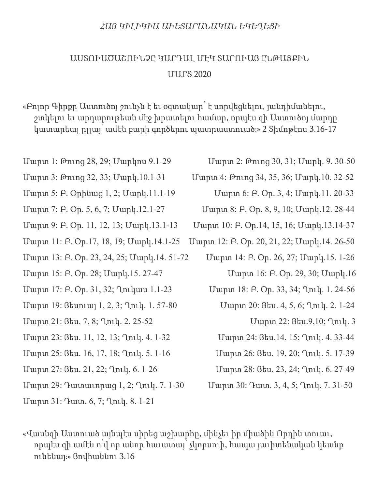#### ՀԱՅ ԿԻԼԻԿԻԱ ԱՒԵՏԱՐԱՆԱԿԱՆ ԵԿԵՂԵՑԻ

## ԱՍՏՈՒԱԾԱՇՈՒՆՉԸ ԿԱՐԴԱԼ ՄԷԿ ՏԱՐՈՒԱՅ ԸՆԹԱՑՔԻՆ ՄԱՐՏ 2020

«Բոլոր Գիրքը Աստուծոյ շունչն է եւ օգտակար՝ է սորվեցնելու, յանդիմանելու, շտկելու եւ արդարութեան մէջ խրատելու համար, որպէս զի Աստուծոյ մարդը կատարեալ ըլլայ՝ ամէն բարի գործերու պատրաստուած։» 2 Տիմոթէոս 3.16-17

- Մարտ 1: Թուոց 28, 29; Մարկոս 9.1-29 Մարտ 2: Թուոց 30, 31; Մարկ. 9. 30-50
- 
- Մարտ 5: Բ. Օրինաց 1, 2; Մարկ.11.1-19 Մարտ 6: Բ. Օր. 3, 4; Մարկ.11. 20-33
- 
- 
- 
- Մարտ 13: Բ. Օր. 23, 24, 25; Մարկ.14. 51-72 Մարտ 14: Բ. Օր. 26, 27; Մարկ.15. 1-26
- Մարտ 15: Բ. Օր. 28; Մարկ.15. 27-47 Մարտ 16: Բ. Օր. 29, 30; Մարկ.16
- 
- Մարտ 19: Յեսուայ 1, 2, 3; Ղուկ. 1. 57-80 Մարտ 20: Յես. 4, 5, 6; Ղուկ. 2. 1-24
- Մարտ 21: Յես. 7, 8; Ղուկ. 2. 25-52 Մարտ 22: Յես.9,10; Ղուկ. 3
- Մարտ 23: Յես. 11, 12, 13; Ղուկ. 4. 1-32 Մարտ 24: Յես.14, 15; Ղուկ. 4. 33-44
- Մարտ 25: Յես. 16, 17, 18; Ղուկ. 5. 1-16 Մարտ 26: Յես. 19, 20; Ղուկ. 5. 17-39
- 
- Մարտ 29: Դատաւորաց 1, 2; Ղուկ. 7. 1-30 Մարտ 30: Դատ. 3, 4, 5; Ղուկ. 7. 31-50

Մարտ 31: Դատ. 6, 7; Ղուկ. 8. 1-21

- 
- Մարտ 3: Թուոց 32, 33; Մարկ.10.1-31 Մարտ 4: Թուոց 34, 35, 36; Մարկ.10. 32-52
	-
- Մարտ 7: Բ. Օր. 5, 6, 7; Մարկ.12.1-27 Մարտ 8: Բ. Օր. 8, 9, 10; Մարկ.12. 28-44
- Մարտ 9: Բ. Օր. 11, 12, 13; Մարկ.13.1-13 Մարտ 10: Բ. Օր.14, 15, 16; Մարկ.13.14-37
- Մարտ 11: Բ. Օր.17, 18, 19; Մարկ.14.1-25 Մարտ 12: Բ. Օր. 20, 21, 22; Մարկ.14. 26-50
	-
- Մարտ 17: Բ. Օր. 31, 32; Ղուկաս 1.1-23 Մարտ 18: Բ. Օր. 33, 34; Ղուկ. 1. 24-56
	- -
	-
	-
- Մարտ 27: Յես. 21, 22; Ղուկ. 6. 1-26 Մարտ 28: Յես. 23, 24; Ղուկ. 6. 27-49
	-

«Վասնզի Աստուած այնպէս սիրեց աշխարհը, մինչեւ իր միածին Որդին տուաւ, որպէս զի ամէն ո՛վ որ անոր հաւատայ՝ չկորսուի, հապա յաւիտենական կեանք ունենայ։» Յովհաննու 3.16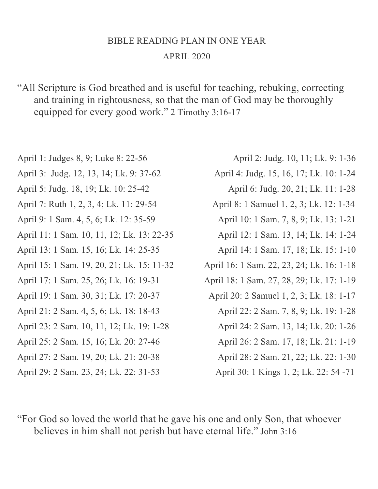## BIBLE READING PLAN IN ONE YEAR APRIL 2020

"All Scripture is God breathed and is useful for teaching, rebuking, correcting and training in rightousness, so that the man of God may be thoroughly equipped for every good work." 2 Timothy 3:16-17

- 
- 
- 
- 
- 
- April 13: 1 Sam. 15, 16; Lk. 14: 25-35 April 14: 1 Sam. 17, 18; Lk. 15: 1-10
- 
- 
- 
- 
- 
- 
- 
- April 29: 2 Sam. 23, 24; Lk. 22: 31-53 April 30: 1 Kings 1, 2; Lk. 22: 54 -71
- April 1: Judges 8, 9; Luke 8: 22-56 April 2: Judg. 10, 11; Lk. 9: 1-36
- April 3: Judg. 12, 13, 14; Lk. 9: 37-62 April 4: Judg. 15, 16, 17; Lk. 10: 1-24
- April 5: Judg. 18, 19; Lk. 10: 25-42 April 6: Judg. 20, 21; Lk. 11: 1-28
- April 7: Ruth 1, 2, 3, 4; Lk. 11: 29-54 April 8: 1 Samuel 1, 2, 3; Lk. 12: 1-34
- April 9: 1 Sam. 4, 5, 6; Lk. 12: 35-59 April 10: 1 Sam. 7, 8, 9; Lk. 13: 1-21
- April 11: 1 Sam. 10, 11, 12; Lk. 13: 22-35 April 12: 1 Sam. 13, 14; Lk. 14: 1-24
	-
- April 15: 1 Sam. 19, 20, 21; Lk. 15: 11-32 April 16: 1 Sam. 22, 23, 24; Lk. 16: 1-18
- April 17: 1 Sam. 25, 26; Lk. 16: 19-31 April 18: 1 Sam. 27, 28, 29; Lk. 17: 1-19
- April 19: 1 Sam. 30, 31; Lk. 17: 20-37 April 20: 2 Samuel 1, 2, 3; Lk. 18: 1-17
- April 21: 2 Sam. 4, 5, 6; Lk. 18: 18-43 April 22: 2 Sam. 7, 8, 9; Lk. 19: 1-28
- April 23: 2 Sam. 10, 11, 12; Lk. 19: 1-28 April 24: 2 Sam. 13, 14; Lk. 20: 1-26
- April 25: 2 Sam. 15, 16; Lk. 20: 27-46 April 26: 2 Sam. 17, 18; Lk. 21: 1-19
- April 27: 2 Sam. 19, 20; Lk. 21: 20-38 April 28: 2 Sam. 21, 22; Lk. 22: 1-30
	-